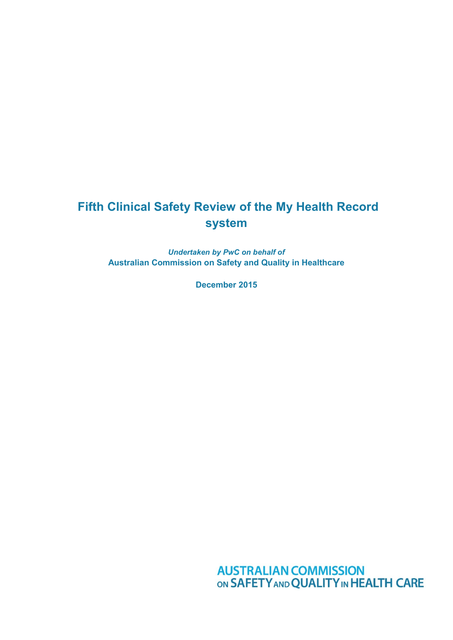# **Fifth Clinical Safety Review of the My Health Record system**

*Undertaken by PwC on behalf of* **Australian Commission on Safety and Quality in Healthcare**

**December 2015**

**AUSTRALIAN COMMISSION<br>ON SAFETY AND QUALITY IN HEALTH CARE**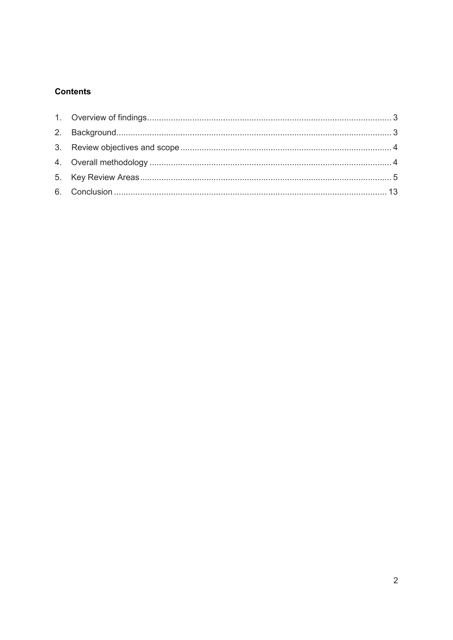## **Contents**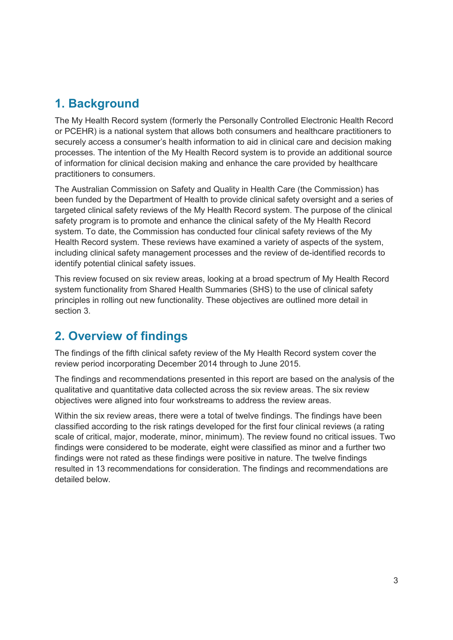# <span id="page-2-1"></span>**1. Background**

The My Health Record system (formerly the Personally Controlled Electronic Health Record or PCEHR) is a national system that allows both consumers and healthcare practitioners to securely access a consumer's health information to aid in clinical care and decision making processes. The intention of the My Health Record system is to provide an additional source of information for clinical decision making and enhance the care provided by healthcare practitioners to consumers.

The Australian Commission on Safety and Quality in Health Care (the Commission) has been funded by the Department of Health to provide clinical safety oversight and a series of targeted clinical safety reviews of the My Health Record system. The purpose of the clinical safety program is to promote and enhance the clinical safety of the My Health Record system. To date, the Commission has conducted four clinical safety reviews of the My Health Record system. These reviews have examined a variety of aspects of the system, including clinical safety management processes and the review of de-identified records to identify potential clinical safety issues.

This review focused on six review areas, looking at a broad spectrum of My Health Record system functionality from Shared Health Summaries (SHS) to the use of clinical safety principles in rolling out new functionality. These objectives are outlined more detail in section 3.

# <span id="page-2-0"></span>**2. Overview of findings**

The findings of the fifth clinical safety review of the My Health Record system cover the review period incorporating December 2014 through to June 2015.

The findings and recommendations presented in this report are based on the analysis of the qualitative and quantitative data collected across the six review areas. The six review objectives were aligned into four workstreams to address the review areas.

Within the six review areas, there were a total of twelve findings. The findings have been classified according to the risk ratings developed for the first four clinical reviews (a rating scale of critical, major, moderate, minor, minimum). The review found no critical issues. Two findings were considered to be moderate, eight were classified as minor and a further two findings were not rated as these findings were positive in nature. The twelve findings resulted in 13 recommendations for consideration. The findings and recommendations are detailed below.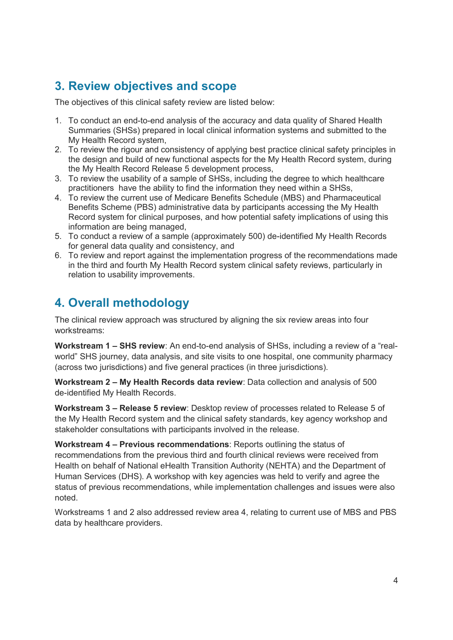# <span id="page-3-0"></span>**3. Review objectives and scope**

The objectives of this clinical safety review are listed below:

- 1. To conduct an end-to-end analysis of the accuracy and data quality of Shared Health Summaries (SHSs) prepared in local clinical information systems and submitted to the My Health Record system,
- 2. To review the rigour and consistency of applying best practice clinical safety principles in the design and build of new functional aspects for the My Health Record system, during the My Health Record Release 5 development process,
- 3. To review the usability of a sample of SHSs, including the degree to which healthcare practitioners have the ability to find the information they need within a SHSs,
- 4. To review the current use of Medicare Benefits Schedule (MBS) and Pharmaceutical Benefits Scheme (PBS) administrative data by participants accessing the My Health Record system for clinical purposes, and how potential safety implications of using this information are being managed,
- 5. To conduct a review of a sample (approximately 500) de-identified My Health Records for general data quality and consistency, and
- 6. To review and report against the implementation progress of the recommendations made in the third and fourth My Health Record system clinical safety reviews, particularly in relation to usability improvements.

# <span id="page-3-1"></span>**4. Overall methodology**

The clinical review approach was structured by aligning the six review areas into four workstreams:

**Workstream 1 – SHS review**: An end-to-end analysis of SHSs, including a review of a "realworld" SHS journey, data analysis, and site visits to one hospital, one community pharmacy (across two jurisdictions) and five general practices (in three jurisdictions).

**Workstream 2 – My Health Records data review**: Data collection and analysis of 500 de-identified My Health Records.

**Workstream 3 – Release 5 review**: Desktop review of processes related to Release 5 of the My Health Record system and the clinical safety standards, key agency workshop and stakeholder consultations with participants involved in the release.

**Workstream 4 – Previous recommendations**: Reports outlining the status of recommendations from the previous third and fourth clinical reviews were received from Health on behalf of National eHealth Transition Authority (NEHTA) and the Department of Human Services (DHS). A workshop with key agencies was held to verify and agree the status of previous recommendations, while implementation challenges and issues were also noted.

Workstreams 1 and 2 also addressed review area 4, relating to current use of MBS and PBS data by healthcare providers.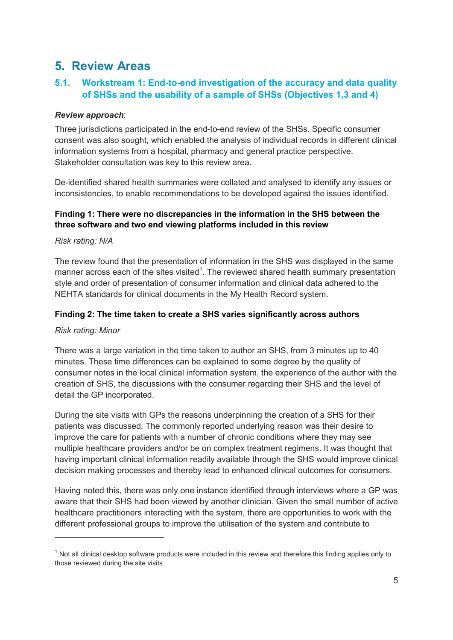## <span id="page-4-0"></span>**5. Review Areas**

## **5.1. Workstream 1: End-to-end investigation of the accuracy and data quality of SHSs and the usability of a sample of SHSs (Objectives 1,3 and 4)**

### *Review approach*:

Three jurisdictions participated in the end-to-end review of the SHSs. Specific consumer consent was also sought, which enabled the analysis of individual records in different clinical information systems from a hospital, pharmacy and general practice perspective. Stakeholder consultation was key to this review area.

De-identified shared health summaries were collated and analysed to identify any issues or inconsistencies, to enable recommendations to be developed against the issues identified.

## **Finding 1: There were no discrepancies in the information in the SHS between the three software and two end viewing platforms included in this review**

### *Risk rating: N/A*

The review found that the presentation of information in the SHS was displayed in the same manner across each of the sites visited<sup>1</sup>. The reviewed shared health summary presentation style and order of presentation of consumer information and clinical data adhered to the NEHTA standards for clinical documents in the My Health Record system.

#### **Finding 2: The time taken to create a SHS varies significantly across authors**

#### *Risk rating: Minor*

-

There was a large variation in the time taken to author an SHS, from 3 minutes up to 40 minutes. These time differences can be explained to some degree by the quality of consumer notes in the local clinical information system, the experience of the author with the creation of SHS, the discussions with the consumer regarding their SHS and the level of detail the GP incorporated.

During the site visits with GPs the reasons underpinning the creation of a SHS for their patients was discussed. The commonly reported underlying reason was their desire to improve the care for patients with a number of chronic conditions where they may see multiple healthcare providers and/or be on complex treatment regimens. It was thought that having important clinical information readily available through the SHS would improve clinical decision making processes and thereby lead to enhanced clinical outcomes for consumers.

Having noted this, there was only one instance identified through interviews where a GP was aware that their SHS had been viewed by another clinician. Given the small number of active healthcare practitioners interacting with the system, there are opportunities to work with the different professional groups to improve the utilisation of the system and contribute to

 $1$  Not all clinical desktop software products were included in this review and therefore this finding applies only to those reviewed during the site visits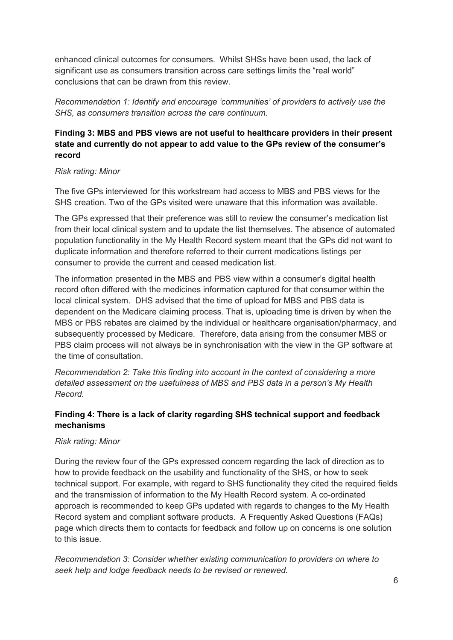enhanced clinical outcomes for consumers. Whilst SHSs have been used, the lack of significant use as consumers transition across care settings limits the "real world" conclusions that can be drawn from this review.

*Recommendation 1: Identify and encourage 'communities' of providers to actively use the SHS, as consumers transition across the care continuum.*

## **Finding 3: MBS and PBS views are not useful to healthcare providers in their present state and currently do not appear to add value to the GPs review of the consumer's record**

#### *Risk rating: Minor*

The five GPs interviewed for this workstream had access to MBS and PBS views for the SHS creation. Two of the GPs visited were unaware that this information was available.

The GPs expressed that their preference was still to review the consumer's medication list from their local clinical system and to update the list themselves. The absence of automated population functionality in the My Health Record system meant that the GPs did not want to duplicate information and therefore referred to their current medications listings per consumer to provide the current and ceased medication list.

The information presented in the MBS and PBS view within a consumer's digital health record often differed with the medicines information captured for that consumer within the local clinical system. DHS advised that the time of upload for MBS and PBS data is dependent on the Medicare claiming process. That is, uploading time is driven by when the MBS or PBS rebates are claimed by the individual or healthcare organisation/pharmacy, and subsequently processed by Medicare. Therefore, data arising from the consumer MBS or PBS claim process will not always be in synchronisation with the view in the GP software at the time of consultation.

*Recommendation 2: Take this finding into account in the context of considering a more detailed assessment on the usefulness of MBS and PBS data in a person's My Health Record.*

## **Finding 4: There is a lack of clarity regarding SHS technical support and feedback mechanisms**

### *Risk rating: Minor*

During the review four of the GPs expressed concern regarding the lack of direction as to how to provide feedback on the usability and functionality of the SHS, or how to seek technical support. For example, with regard to SHS functionality they cited the required fields and the transmission of information to the My Health Record system. A co-ordinated approach is recommended to keep GPs updated with regards to changes to the My Health Record system and compliant software products. A Frequently Asked Questions (FAQs) page which directs them to contacts for feedback and follow up on concerns is one solution to this issue.

*Recommendation 3: Consider whether existing communication to providers on where to seek help and lodge feedback needs to be revised or renewed.*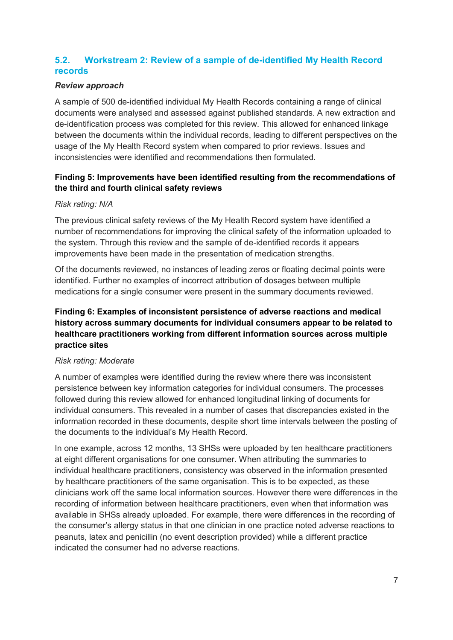## **5.2. Workstream 2: Review of a sample of de-identified My Health Record records**

#### *Review approach*

A sample of 500 de-identified individual My Health Records containing a range of clinical documents were analysed and assessed against published standards. A new extraction and de-identification process was completed for this review. This allowed for enhanced linkage between the documents within the individual records, leading to different perspectives on the usage of the My Health Record system when compared to prior reviews. Issues and inconsistencies were identified and recommendations then formulated.

### **Finding 5: Improvements have been identified resulting from the recommendations of the third and fourth clinical safety reviews**

#### *Risk rating: N/A*

The previous clinical safety reviews of the My Health Record system have identified a number of recommendations for improving the clinical safety of the information uploaded to the system. Through this review and the sample of de-identified records it appears improvements have been made in the presentation of medication strengths.

Of the documents reviewed, no instances of leading zeros or floating decimal points were identified. Further no examples of incorrect attribution of dosages between multiple medications for a single consumer were present in the summary documents reviewed.

### **Finding 6: Examples of inconsistent persistence of adverse reactions and medical history across summary documents for individual consumers appear to be related to healthcare practitioners working from different information sources across multiple practice sites**

#### *Risk rating: Moderate*

A number of examples were identified during the review where there was inconsistent persistence between key information categories for individual consumers. The processes followed during this review allowed for enhanced longitudinal linking of documents for individual consumers. This revealed in a number of cases that discrepancies existed in the information recorded in these documents, despite short time intervals between the posting of the documents to the individual's My Health Record.

In one example, across 12 months, 13 SHSs were uploaded by ten healthcare practitioners at eight different organisations for one consumer. When attributing the summaries to individual healthcare practitioners, consistency was observed in the information presented by healthcare practitioners of the same organisation. This is to be expected, as these clinicians work off the same local information sources. However there were differences in the recording of information between healthcare practitioners, even when that information was available in SHSs already uploaded. For example, there were differences in the recording of the consumer's allergy status in that one clinician in one practice noted adverse reactions to peanuts, latex and penicillin (no event description provided) while a different practice indicated the consumer had no adverse reactions.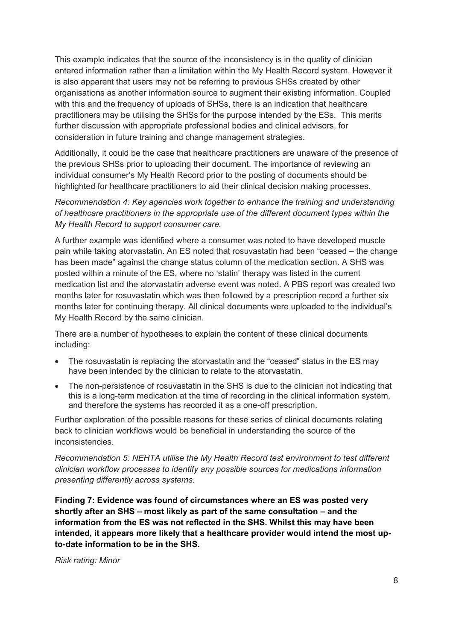This example indicates that the source of the inconsistency is in the quality of clinician entered information rather than a limitation within the My Health Record system. However it is also apparent that users may not be referring to previous SHSs created by other organisations as another information source to augment their existing information. Coupled with this and the frequency of uploads of SHSs, there is an indication that healthcare practitioners may be utilising the SHSs for the purpose intended by the ESs. This merits further discussion with appropriate professional bodies and clinical advisors, for consideration in future training and change management strategies.

Additionally, it could be the case that healthcare practitioners are unaware of the presence of the previous SHSs prior to uploading their document. The importance of reviewing an individual consumer's My Health Record prior to the posting of documents should be highlighted for healthcare practitioners to aid their clinical decision making processes.

*Recommendation 4: Key agencies work together to enhance the training and understanding of healthcare practitioners in the appropriate use of the different document types within the My Health Record to support consumer care.*

A further example was identified where a consumer was noted to have developed muscle pain while taking atorvastatin. An ES noted that rosuvastatin had been "ceased – the change has been made" against the change status column of the medication section. A SHS was posted within a minute of the ES, where no 'statin' therapy was listed in the current medication list and the atorvastatin adverse event was noted. A PBS report was created two months later for rosuvastatin which was then followed by a prescription record a further six months later for continuing therapy. All clinical documents were uploaded to the individual's My Health Record by the same clinician.

There are a number of hypotheses to explain the content of these clinical documents including:

- The rosuvastatin is replacing the atorvastatin and the "ceased" status in the ES may have been intended by the clinician to relate to the atorvastatin.
- The non-persistence of rosuvastatin in the SHS is due to the clinician not indicating that this is a long-term medication at the time of recording in the clinical information system, and therefore the systems has recorded it as a one-off prescription.

Further exploration of the possible reasons for these series of clinical documents relating back to clinician workflows would be beneficial in understanding the source of the inconsistencies.

*Recommendation 5: NEHTA utilise the My Health Record test environment to test different clinician workflow processes to identify any possible sources for medications information presenting differently across systems.*

**Finding 7: Evidence was found of circumstances where an ES was posted very shortly after an SHS – most likely as part of the same consultation – and the information from the ES was not reflected in the SHS. Whilst this may have been intended, it appears more likely that a healthcare provider would intend the most upto-date information to be in the SHS.**

*Risk rating: Minor*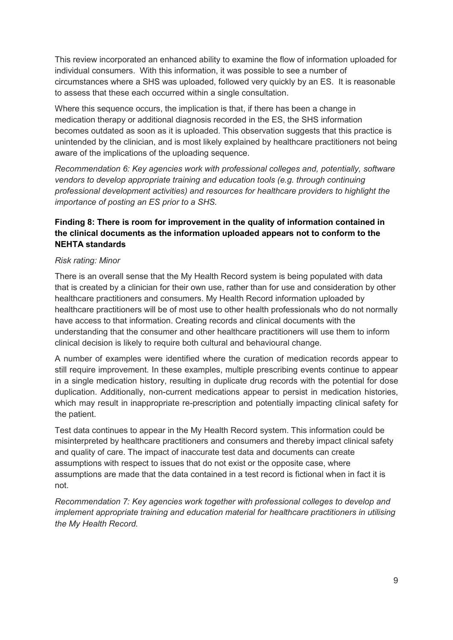This review incorporated an enhanced ability to examine the flow of information uploaded for individual consumers. With this information, it was possible to see a number of circumstances where a SHS was uploaded, followed very quickly by an ES. It is reasonable to assess that these each occurred within a single consultation.

Where this sequence occurs, the implication is that, if there has been a change in medication therapy or additional diagnosis recorded in the ES, the SHS information becomes outdated as soon as it is uploaded. This observation suggests that this practice is unintended by the clinician, and is most likely explained by healthcare practitioners not being aware of the implications of the uploading sequence.

*Recommendation 6: Key agencies work with professional colleges and, potentially, software vendors to develop appropriate training and education tools (e.g. through continuing professional development activities) and resources for healthcare providers to highlight the importance of posting an ES prior to a SHS.*

### **Finding 8: There is room for improvement in the quality of information contained in the clinical documents as the information uploaded appears not to conform to the NEHTA standards**

#### *Risk rating: Minor*

There is an overall sense that the My Health Record system is being populated with data that is created by a clinician for their own use, rather than for use and consideration by other healthcare practitioners and consumers. My Health Record information uploaded by healthcare practitioners will be of most use to other health professionals who do not normally have access to that information. Creating records and clinical documents with the understanding that the consumer and other healthcare practitioners will use them to inform clinical decision is likely to require both cultural and behavioural change.

A number of examples were identified where the curation of medication records appear to still require improvement. In these examples, multiple prescribing events continue to appear in a single medication history, resulting in duplicate drug records with the potential for dose duplication. Additionally, non-current medications appear to persist in medication histories, which may result in inappropriate re-prescription and potentially impacting clinical safety for the patient.

Test data continues to appear in the My Health Record system. This information could be misinterpreted by healthcare practitioners and consumers and thereby impact clinical safety and quality of care. The impact of inaccurate test data and documents can create assumptions with respect to issues that do not exist or the opposite case, where assumptions are made that the data contained in a test record is fictional when in fact it is not.

*Recommendation 7: Key agencies work together with professional colleges to develop and implement appropriate training and education material for healthcare practitioners in utilising the My Health Record.*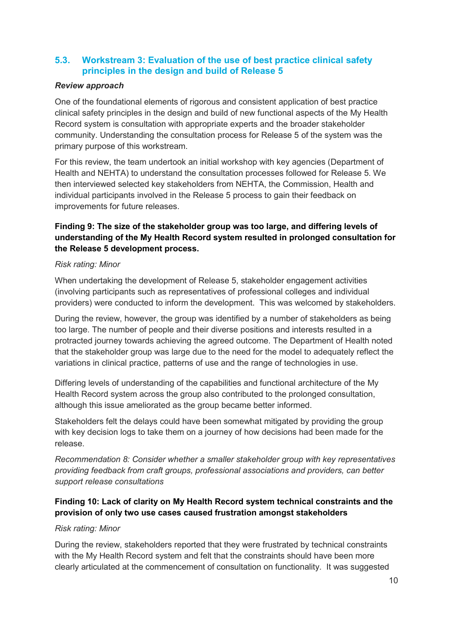## **5.3. Workstream 3: Evaluation of the use of best practice clinical safety principles in the design and build of Release 5**

#### *Review approach*

One of the foundational elements of rigorous and consistent application of best practice clinical safety principles in the design and build of new functional aspects of the My Health Record system is consultation with appropriate experts and the broader stakeholder community. Understanding the consultation process for Release 5 of the system was the primary purpose of this workstream.

For this review, the team undertook an initial workshop with key agencies (Department of Health and NEHTA) to understand the consultation processes followed for Release 5. We then interviewed selected key stakeholders from NEHTA, the Commission, Health and individual participants involved in the Release 5 process to gain their feedback on improvements for future releases.

## **Finding 9: The size of the stakeholder group was too large, and differing levels of understanding of the My Health Record system resulted in prolonged consultation for the Release 5 development process.**

#### *Risk rating: Minor*

When undertaking the development of Release 5, stakeholder engagement activities (involving participants such as representatives of professional colleges and individual providers) were conducted to inform the development. This was welcomed by stakeholders.

During the review, however, the group was identified by a number of stakeholders as being too large. The number of people and their diverse positions and interests resulted in a protracted journey towards achieving the agreed outcome. The Department of Health noted that the stakeholder group was large due to the need for the model to adequately reflect the variations in clinical practice, patterns of use and the range of technologies in use.

Differing levels of understanding of the capabilities and functional architecture of the My Health Record system across the group also contributed to the prolonged consultation, although this issue ameliorated as the group became better informed.

Stakeholders felt the delays could have been somewhat mitigated by providing the group with key decision logs to take them on a journey of how decisions had been made for the release.

*Recommendation 8: Consider whether a smaller stakeholder group with key representatives providing feedback from craft groups, professional associations and providers, can better support release consultations*

## **Finding 10: Lack of clarity on My Health Record system technical constraints and the provision of only two use cases caused frustration amongst stakeholders**

#### *Risk rating: Minor*

During the review, stakeholders reported that they were frustrated by technical constraints with the My Health Record system and felt that the constraints should have been more clearly articulated at the commencement of consultation on functionality. It was suggested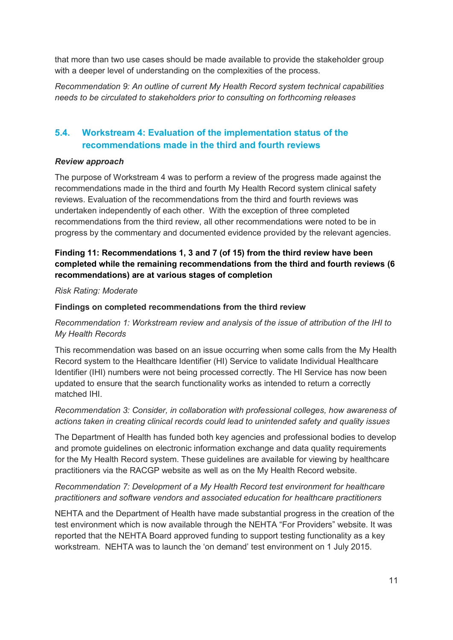that more than two use cases should be made available to provide the stakeholder group with a deeper level of understanding on the complexities of the process.

*Recommendation 9: An outline of current My Health Record system technical capabilities needs to be circulated to stakeholders prior to consulting on forthcoming releases*

## **5.4. Workstream 4: Evaluation of the implementation status of the recommendations made in the third and fourth reviews**

#### *Review approach*

The purpose of Workstream 4 was to perform a review of the progress made against the recommendations made in the third and fourth My Health Record system clinical safety reviews. Evaluation of the recommendations from the third and fourth reviews was undertaken independently of each other. With the exception of three completed recommendations from the third review, all other recommendations were noted to be in progress by the commentary and documented evidence provided by the relevant agencies.

## **Finding 11: Recommendations 1, 3 and 7 (of 15) from the third review have been completed while the remaining recommendations from the third and fourth reviews (6 recommendations) are at various stages of completion**

#### *Risk Rating: Moderate*

#### **Findings on completed recommendations from the third review**

*Recommendation 1: Workstream review and analysis of the issue of attribution of the IHI to My Health Records*

This recommendation was based on an issue occurring when some calls from the My Health Record system to the Healthcare Identifier (HI) Service to validate Individual Healthcare Identifier (IHI) numbers were not being processed correctly. The HI Service has now been updated to ensure that the search functionality works as intended to return a correctly matched IHI.

### *Recommendation 3: Consider, in collaboration with professional colleges, how awareness of actions taken in creating clinical records could lead to unintended safety and quality issues*

The Department of Health has funded both key agencies and professional bodies to develop and promote guidelines on electronic information exchange and data quality requirements for the My Health Record system. These guidelines are available for viewing by healthcare practitioners via the RACGP website as well as on the My Health Record website.

## *Recommendation 7: Development of a My Health Record test environment for healthcare practitioners and software vendors and associated education for healthcare practitioners*

NEHTA and the Department of Health have made substantial progress in the creation of the test environment which is now available through the NEHTA "For Providers" website. It was reported that the NEHTA Board approved funding to support testing functionality as a key workstream. NEHTA was to launch the 'on demand' test environment on 1 July 2015.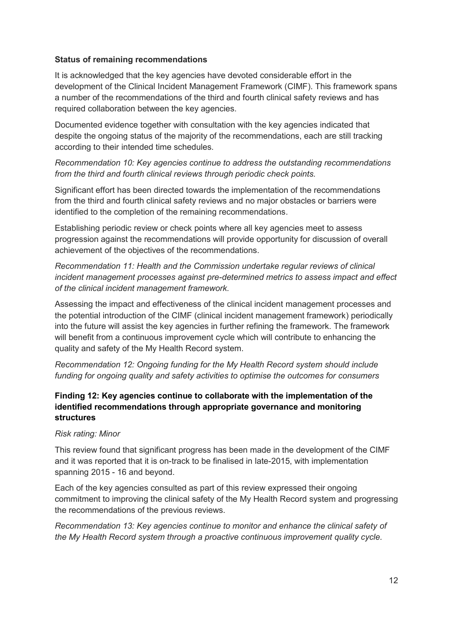#### **Status of remaining recommendations**

It is acknowledged that the key agencies have devoted considerable effort in the development of the Clinical Incident Management Framework (CIMF). This framework spans a number of the recommendations of the third and fourth clinical safety reviews and has required collaboration between the key agencies.

Documented evidence together with consultation with the key agencies indicated that despite the ongoing status of the majority of the recommendations, each are still tracking according to their intended time schedules.

*Recommendation 10: Key agencies continue to address the outstanding recommendations from the third and fourth clinical reviews through periodic check points.*

Significant effort has been directed towards the implementation of the recommendations from the third and fourth clinical safety reviews and no major obstacles or barriers were identified to the completion of the remaining recommendations.

Establishing periodic review or check points where all key agencies meet to assess progression against the recommendations will provide opportunity for discussion of overall achievement of the objectives of the recommendations.

*Recommendation 11: Health and the Commission undertake regular reviews of clinical incident management processes against pre-determined metrics to assess impact and effect of the clinical incident management framework.*

Assessing the impact and effectiveness of the clinical incident management processes and the potential introduction of the CIMF (clinical incident management framework) periodically into the future will assist the key agencies in further refining the framework. The framework will benefit from a continuous improvement cycle which will contribute to enhancing the quality and safety of the My Health Record system.

*Recommendation 12: Ongoing funding for the My Health Record system should include funding for ongoing quality and safety activities to optimise the outcomes for consumers*

## **Finding 12: Key agencies continue to collaborate with the implementation of the identified recommendations through appropriate governance and monitoring structures**

#### *Risk rating: Minor*

This review found that significant progress has been made in the development of the CIMF and it was reported that it is on-track to be finalised in late-2015, with implementation spanning 2015 - 16 and beyond.

Each of the key agencies consulted as part of this review expressed their ongoing commitment to improving the clinical safety of the My Health Record system and progressing the recommendations of the previous reviews.

*Recommendation 13: Key agencies continue to monitor and enhance the clinical safety of the My Health Record system through a proactive continuous improvement quality cycle.*